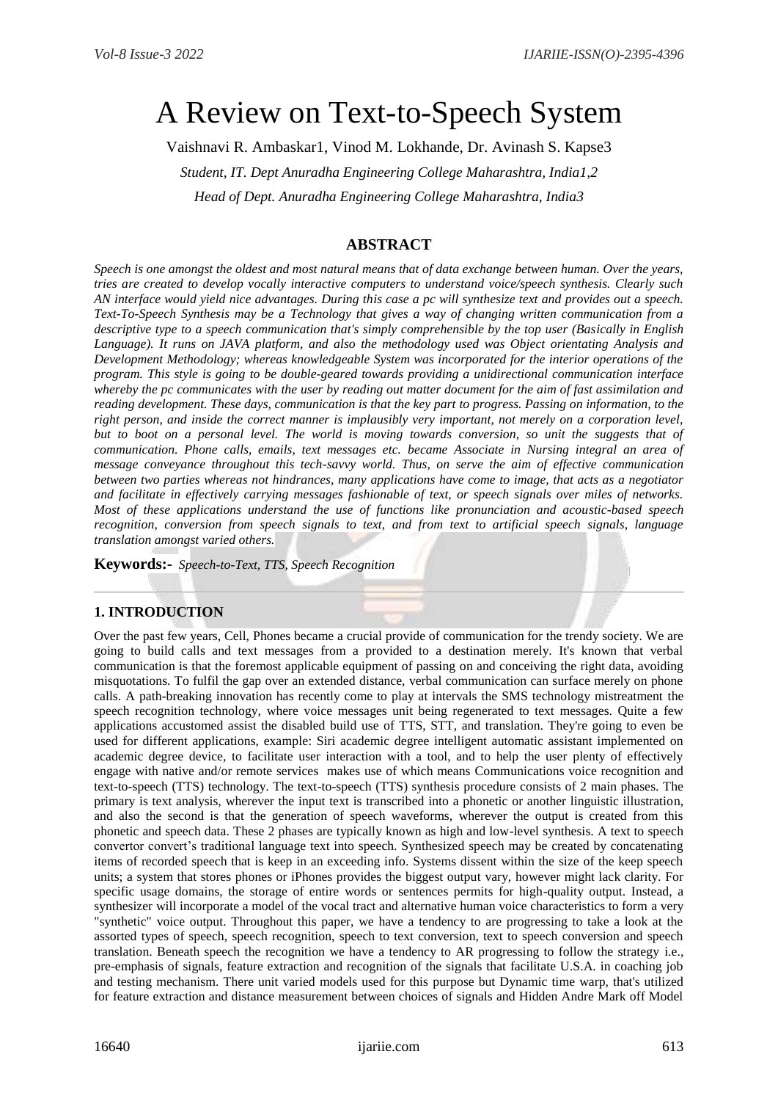# A Review on Text-to-Speech System

Vaishnavi R. Ambaskar1, Vinod M. Lokhande, Dr. Avinash S. Kapse3

*Student, IT. Dept Anuradha Engineering College Maharashtra, India1,2 Head of Dept. Anuradha Engineering College Maharashtra, India3*

## **ABSTRACT**

*Speech is one amongst the oldest and most natural means that of data exchange between human. Over the years, tries are created to develop vocally interactive computers to understand voice/speech synthesis. Clearly such AN interface would yield nice advantages. During this case a pc will synthesize text and provides out a speech. Text-To-Speech Synthesis may be a Technology that gives a way of changing written communication from a descriptive type to a speech communication that's simply comprehensible by the top user (Basically in English Language). It runs on JAVA platform, and also the methodology used was Object orientating Analysis and Development Methodology; whereas knowledgeable System was incorporated for the interior operations of the program. This style is going to be double-geared towards providing a unidirectional communication interface whereby the pc communicates with the user by reading out matter document for the aim of fast assimilation and reading development. These days, communication is that the key part to progress. Passing on information, to the right person, and inside the correct manner is implausibly very important, not merely on a corporation level, but to boot on a personal level. The world is moving towards conversion, so unit the suggests that of communication. Phone calls, emails, text messages etc. became Associate in Nursing integral an area of message conveyance throughout this tech-savvy world. Thus, on serve the aim of effective communication between two parties whereas not hindrances, many applications have come to image, that acts as a negotiator and facilitate in effectively carrying messages fashionable of text, or speech signals over miles of networks. Most of these applications understand the use of functions like pronunciation and acoustic-based speech recognition, conversion from speech signals to text, and from text to artificial speech signals, language translation amongst varied others.*

**Keywords:-** *Speech-to-Text, TTS, Speech Recognition*

## **1. INTRODUCTION**

Over the past few years, Cell, Phones became a crucial provide of communication for the trendy society. We are going to build calls and text messages from a provided to a destination merely. It's known that verbal communication is that the foremost applicable equipment of passing on and conceiving the right data, avoiding misquotations. To fulfil the gap over an extended distance, verbal communication can surface merely on phone calls. A path-breaking innovation has recently come to play at intervals the SMS technology mistreatment the speech recognition technology, where voice messages unit being regenerated to text messages. Quite a few applications accustomed assist the disabled build use of TTS, STT, and translation. They're going to even be used for different applications, example: Siri academic degree intelligent automatic assistant implemented on academic degree device, to facilitate user interaction with a tool, and to help the user plenty of effectively engage with native and/or remote services makes use of which means Communications voice recognition and text-to-speech (TTS) technology. The text-to-speech (TTS) synthesis procedure consists of 2 main phases. The primary is text analysis, wherever the input text is transcribed into a phonetic or another linguistic illustration, and also the second is that the generation of speech waveforms, wherever the output is created from this phonetic and speech data. These 2 phases are typically known as high and low-level synthesis. A text to speech convertor convert's traditional language text into speech. Synthesized speech may be created by concatenating items of recorded speech that is keep in an exceeding info. Systems dissent within the size of the keep speech units; a system that stores phones or iPhones provides the biggest output vary, however might lack clarity. For specific usage domains, the storage of entire words or sentences permits for high-quality output. Instead, a synthesizer will incorporate a model of the vocal tract and alternative human voice characteristics to form a very "synthetic" voice output. Throughout this paper, we have a tendency to are progressing to take a look at the assorted types of speech, speech recognition, speech to text conversion, text to speech conversion and speech translation. Beneath speech the recognition we have a tendency to AR progressing to follow the strategy i.e., pre-emphasis of signals, feature extraction and recognition of the signals that facilitate U.S.A. in coaching job and testing mechanism. There unit varied models used for this purpose but Dynamic time warp, that's utilized for feature extraction and distance measurement between choices of signals and Hidden Andre Mark off Model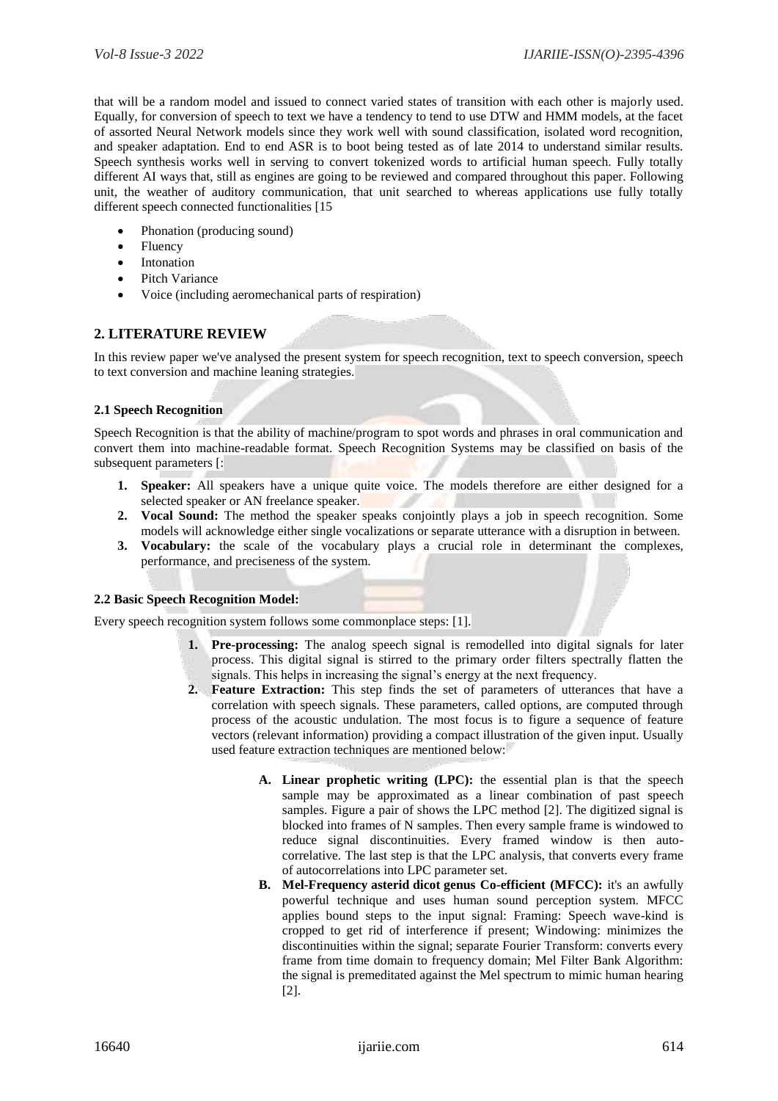that will be a random model and issued to connect varied states of transition with each other is majorly used. Equally, for conversion of speech to text we have a tendency to tend to use DTW and HMM models, at the facet of assorted Neural Network models since they work well with sound classification, isolated word recognition, and speaker adaptation. End to end ASR is to boot being tested as of late 2014 to understand similar results. Speech synthesis works well in serving to convert tokenized words to artificial human speech. Fully totally different AI ways that, still as engines are going to be reviewed and compared throughout this paper. Following unit, the weather of auditory communication, that unit searched to whereas applications use fully totally different speech connected functionalities [15

- Phonation (producing sound)
- Fluency
- Intonation
- Pitch Variance
- Voice (including aeromechanical parts of respiration)

## **2. LITERATURE REVIEW**

In this review paper we've analysed the present system for speech recognition, text to speech conversion, speech to text conversion and machine leaning strategies.

## **2.1 Speech Recognition**

Speech Recognition is that the ability of machine/program to spot words and phrases in oral communication and convert them into machine-readable format. Speech Recognition Systems may be classified on basis of the subsequent parameters [:

- **1. Speaker:** All speakers have a unique quite voice. The models therefore are either designed for a selected speaker or AN freelance speaker.
- **2. Vocal Sound:** The method the speaker speaks conjointly plays a job in speech recognition. Some models will acknowledge either single vocalizations or separate utterance with a disruption in between.
- **3. Vocabulary:** the scale of the vocabulary plays a crucial role in determinant the complexes, performance, and preciseness of the system.

## **2.2 Basic Speech Recognition Model:**

Every speech recognition system follows some commonplace steps: [1].

- **1. Pre-processing:** The analog speech signal is remodelled into digital signals for later process. This digital signal is stirred to the primary order filters spectrally flatten the signals. This helps in increasing the signal's energy at the next frequency.
- **2. Feature Extraction:** This step finds the set of parameters of utterances that have a correlation with speech signals. These parameters, called options, are computed through process of the acoustic undulation. The most focus is to figure a sequence of feature vectors (relevant information) providing a compact illustration of the given input. Usually used feature extraction techniques are mentioned below:
	- **A. Linear prophetic writing (LPC):** the essential plan is that the speech sample may be approximated as a linear combination of past speech samples. Figure a pair of shows the LPC method [2]. The digitized signal is blocked into frames of N samples. Then every sample frame is windowed to reduce signal discontinuities. Every framed window is then autocorrelative. The last step is that the LPC analysis, that converts every frame of autocorrelations into LPC parameter set.
	- **B. Mel-Frequency asterid dicot genus Co-efficient (MFCC):** it's an awfully powerful technique and uses human sound perception system. MFCC applies bound steps to the input signal: Framing: Speech wave-kind is cropped to get rid of interference if present; Windowing: minimizes the discontinuities within the signal; separate Fourier Transform: converts every frame from time domain to frequency domain; Mel Filter Bank Algorithm: the signal is premeditated against the Mel spectrum to mimic human hearing [2].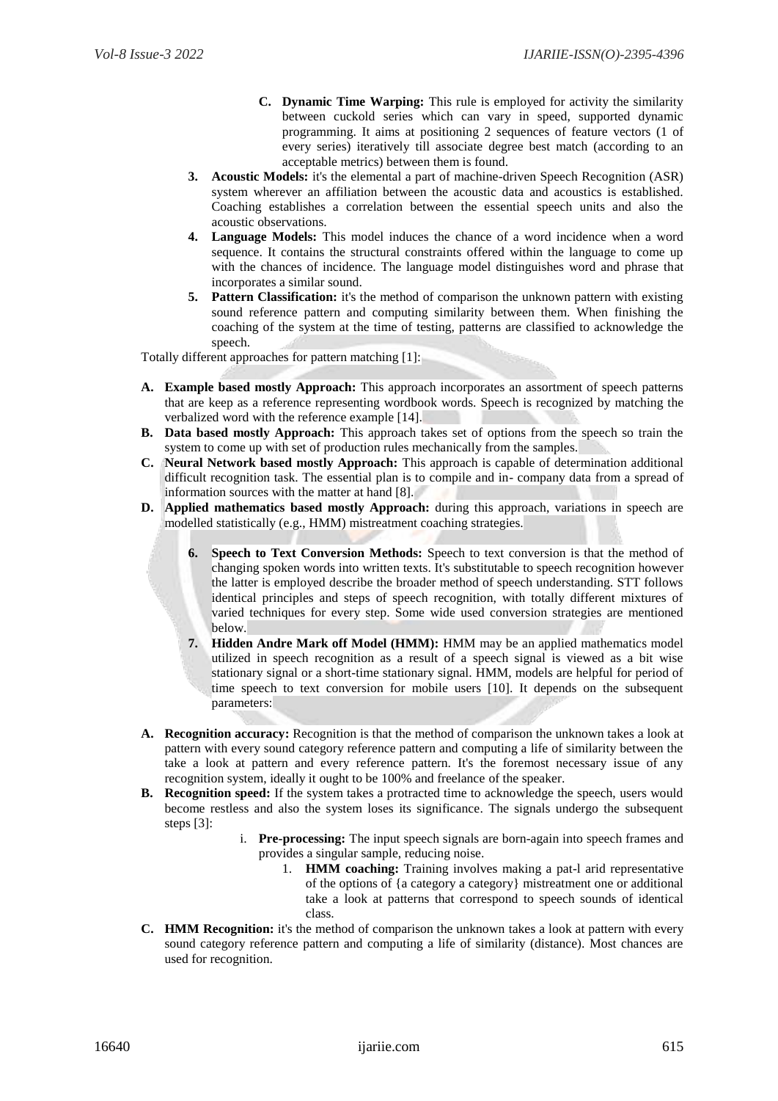- **C. Dynamic Time Warping:** This rule is employed for activity the similarity between cuckold series which can vary in speed, supported dynamic programming. It aims at positioning 2 sequences of feature vectors (1 of every series) iteratively till associate degree best match (according to an acceptable metrics) between them is found.
- **3. Acoustic Models:** it's the elemental a part of machine-driven Speech Recognition (ASR) system wherever an affiliation between the acoustic data and acoustics is established. Coaching establishes a correlation between the essential speech units and also the acoustic observations.
- **4. Language Models:** This model induces the chance of a word incidence when a word sequence. It contains the structural constraints offered within the language to come up with the chances of incidence. The language model distinguishes word and phrase that incorporates a similar sound.
- **5. Pattern Classification:** it's the method of comparison the unknown pattern with existing sound reference pattern and computing similarity between them. When finishing the coaching of the system at the time of testing, patterns are classified to acknowledge the speech.

Totally different approaches for pattern matching [1]:

- **A. Example based mostly Approach:** This approach incorporates an assortment of speech patterns that are keep as a reference representing wordbook words. Speech is recognized by matching the verbalized word with the reference example [14].
- **B. Data based mostly Approach:** This approach takes set of options from the speech so train the system to come up with set of production rules mechanically from the samples.
- **C. Neural Network based mostly Approach:** This approach is capable of determination additional difficult recognition task. The essential plan is to compile and in- company data from a spread of information sources with the matter at hand [8].
- **D. Applied mathematics based mostly Approach:** during this approach, variations in speech are modelled statistically (e.g., HMM) mistreatment coaching strategies.
	- **6. Speech to Text Conversion Methods:** Speech to text conversion is that the method of changing spoken words into written texts. It's substitutable to speech recognition however the latter is employed describe the broader method of speech understanding. STT follows identical principles and steps of speech recognition, with totally different mixtures of varied techniques for every step. Some wide used conversion strategies are mentioned below.
	- **7. Hidden Andre Mark off Model (HMM):** HMM may be an applied mathematics model utilized in speech recognition as a result of a speech signal is viewed as a bit wise stationary signal or a short-time stationary signal. HMM, models are helpful for period of time speech to text conversion for mobile users [10]. It depends on the subsequent parameters:
- **A. Recognition accuracy:** Recognition is that the method of comparison the unknown takes a look at pattern with every sound category reference pattern and computing a life of similarity between the take a look at pattern and every reference pattern. It's the foremost necessary issue of any recognition system, ideally it ought to be 100% and freelance of the speaker.
- **B. Recognition speed:** If the system takes a protracted time to acknowledge the speech, users would become restless and also the system loses its significance. The signals undergo the subsequent steps [3]:
	- i. **Pre-processing:** The input speech signals are born-again into speech frames and provides a singular sample, reducing noise.
		- 1. **HMM coaching:** Training involves making a pat-l arid representative of the options of {a category a category} mistreatment one or additional take a look at patterns that correspond to speech sounds of identical class.
- **C. HMM Recognition:** it's the method of comparison the unknown takes a look at pattern with every sound category reference pattern and computing a life of similarity (distance). Most chances are used for recognition.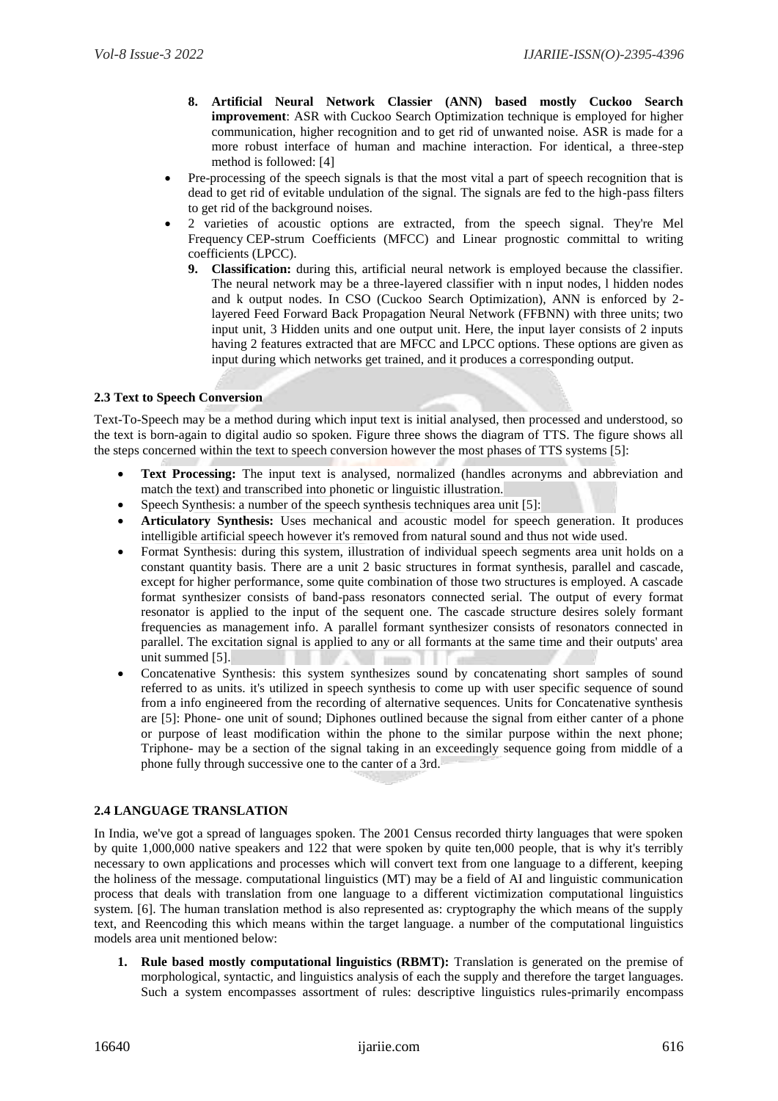- **8. Artificial Neural Network Classier (ANN) based mostly Cuckoo Search improvement**: ASR with Cuckoo Search Optimization technique is employed for higher communication, higher recognition and to get rid of unwanted noise. ASR is made for a more robust interface of human and machine interaction. For identical, a three-step method is followed: [4]
- Pre-processing of the speech signals is that the most vital a part of speech recognition that is dead to get rid of evitable undulation of the signal. The signals are fed to the high-pass filters to get rid of the background noises.
- 2 varieties of acoustic options are extracted, from the speech signal. They're Mel Frequency CEP-strum Coefficients (MFCC) and Linear prognostic committal to writing coefficients (LPCC).
	- **9. Classification:** during this, artificial neural network is employed because the classifier. The neural network may be a three-layered classifier with n input nodes, l hidden nodes and k output nodes. In CSO (Cuckoo Search Optimization), ANN is enforced by 2 layered Feed Forward Back Propagation Neural Network (FFBNN) with three units; two input unit, 3 Hidden units and one output unit. Here, the input layer consists of 2 inputs having 2 features extracted that are MFCC and LPCC options. These options are given as input during which networks get trained, and it produces a corresponding output.

## **2.3 Text to Speech Conversion**

Text-To-Speech may be a method during which input text is initial analysed, then processed and understood, so the text is born-again to digital audio so spoken. Figure three shows the diagram of TTS. The figure shows all the steps concerned within the text to speech conversion however the most phases of TTS systems [5]:

- **Text Processing:** The input text is analysed, normalized (handles acronyms and abbreviation and match the text) and transcribed into phonetic or linguistic illustration.
- Speech Synthesis: a number of the speech synthesis techniques area unit [5]:
- **Articulatory Synthesis:** Uses mechanical and acoustic model for speech generation. It produces intelligible artificial speech however it's removed from natural sound and thus not wide used.
- Format Synthesis: during this system, illustration of individual speech segments area unit holds on a constant quantity basis. There are a unit 2 basic structures in format synthesis, parallel and cascade, except for higher performance, some quite combination of those two structures is employed. A cascade format synthesizer consists of band-pass resonators connected serial. The output of every format resonator is applied to the input of the sequent one. The cascade structure desires solely formant frequencies as management info. A parallel formant synthesizer consists of resonators connected in parallel. The excitation signal is applied to any or all formants at the same time and their outputs' area unit summed [5].  $1000$
- Concatenative Synthesis: this system synthesizes sound by concatenating short samples of sound referred to as units. it's utilized in speech synthesis to come up with user specific sequence of sound from a info engineered from the recording of alternative sequences. Units for Concatenative synthesis are [5]: Phone- one unit of sound; Diphones outlined because the signal from either canter of a phone or purpose of least modification within the phone to the similar purpose within the next phone; Triphone- may be a section of the signal taking in an exceedingly sequence going from middle of a phone fully through successive one to the canter of a 3rd.

## **2.4 LANGUAGE TRANSLATION**

In India, we've got a spread of languages spoken. The 2001 Census recorded thirty languages that were spoken by quite 1,000,000 native speakers and 122 that were spoken by quite ten,000 people, that is why it's terribly necessary to own applications and processes which will convert text from one language to a different, keeping the holiness of the message. computational linguistics (MT) may be a field of AI and linguistic communication process that deals with translation from one language to a different victimization computational linguistics system. [6]. The human translation method is also represented as: cryptography the which means of the supply text, and Reencoding this which means within the target language. a number of the computational linguistics models area unit mentioned below:

**1. Rule based mostly computational linguistics (RBMT):** Translation is generated on the premise of morphological, syntactic, and linguistics analysis of each the supply and therefore the target languages. Such a system encompasses assortment of rules: descriptive linguistics rules-primarily encompass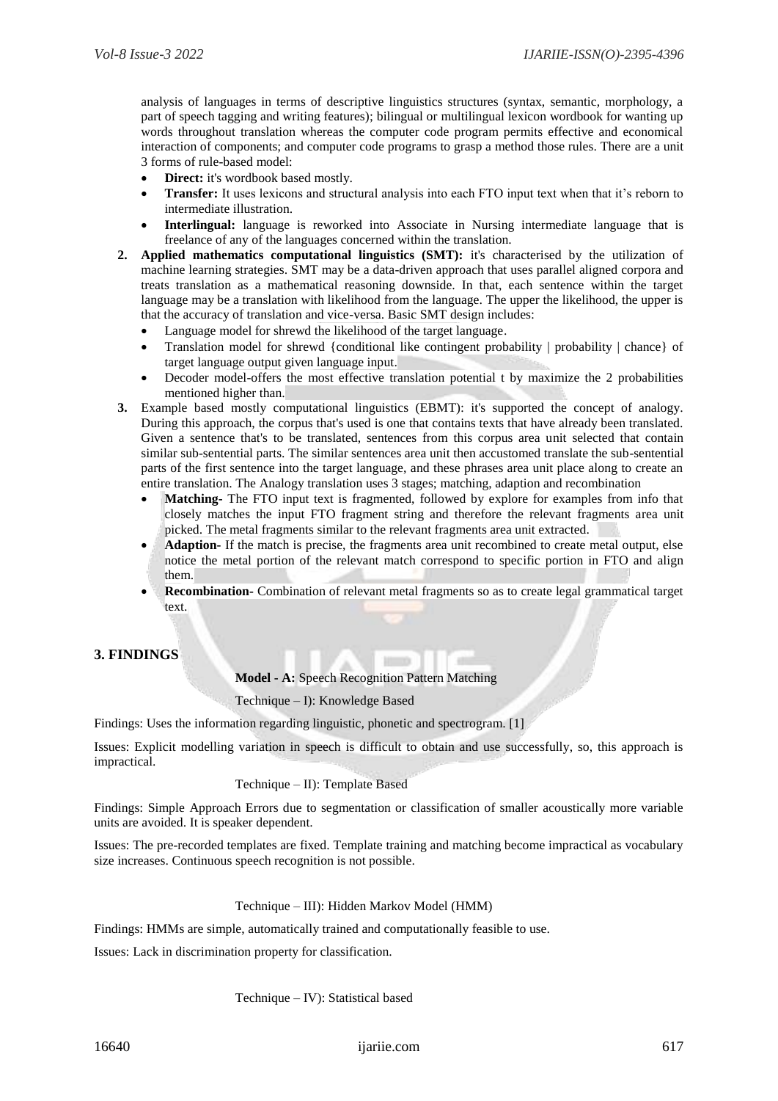analysis of languages in terms of descriptive linguistics structures (syntax, semantic, morphology, a part of speech tagging and writing features); bilingual or multilingual lexicon wordbook for wanting up words throughout translation whereas the computer code program permits effective and economical interaction of components; and computer code programs to grasp a method those rules. There are a unit 3 forms of rule-based model:

- **Direct:** it's wordbook based mostly.
- **Transfer:** It uses lexicons and structural analysis into each FTO input text when that it's reborn to intermediate illustration.
- **Interlingual:** language is reworked into Associate in Nursing intermediate language that is freelance of any of the languages concerned within the translation.
- **2. Applied mathematics computational linguistics (SMT):** it's characterised by the utilization of machine learning strategies. SMT may be a data-driven approach that uses parallel aligned corpora and treats translation as a mathematical reasoning downside. In that, each sentence within the target language may be a translation with likelihood from the language. The upper the likelihood, the upper is that the accuracy of translation and vice-versa. Basic SMT design includes:
	- Language model for shrewd the likelihood of the target language.
	- Translation model for shrewd {conditional like contingent probability | probability | chance} of target language output given language input.
	- Decoder model-offers the most effective translation potential t by maximize the 2 probabilities mentioned higher than.
- **3.** Example based mostly computational linguistics (EBMT): it's supported the concept of analogy. During this approach, the corpus that's used is one that contains texts that have already been translated. Given a sentence that's to be translated, sentences from this corpus area unit selected that contain similar sub-sentential parts. The similar sentences area unit then accustomed translate the sub-sentential parts of the first sentence into the target language, and these phrases area unit place along to create an entire translation. The Analogy translation uses 3 stages; matching, adaption and recombination
	- **Matching-** The FTO input text is fragmented, followed by explore for examples from info that closely matches the input FTO fragment string and therefore the relevant fragments area unit picked. The metal fragments similar to the relevant fragments area unit extracted.
	- **Adaption-** If the match is precise, the fragments area unit recombined to create metal output, else notice the metal portion of the relevant match correspond to specific portion in FTO and align them.
	- **Recombination-** Combination of relevant metal fragments so as to create legal grammatical target text.

## **3. FINDINGS**

**Model - A:** Speech Recognition Pattern Matching

Technique – I): Knowledge Based

Findings: Uses the information regarding linguistic, phonetic and spectrogram. [1]

Issues: Explicit modelling variation in speech is difficult to obtain and use successfully, so, this approach is impractical.

#### Technique – II): Template Based

Findings: Simple Approach Errors due to segmentation or classification of smaller acoustically more variable units are avoided. It is speaker dependent.

Issues: The pre-recorded templates are fixed. Template training and matching become impractical as vocabulary size increases. Continuous speech recognition is not possible.

#### Technique – III): Hidden Markov Model (HMM)

Findings: HMMs are simple, automatically trained and computationally feasible to use.

Issues: Lack in discrimination property for classification.

Technique – IV): Statistical based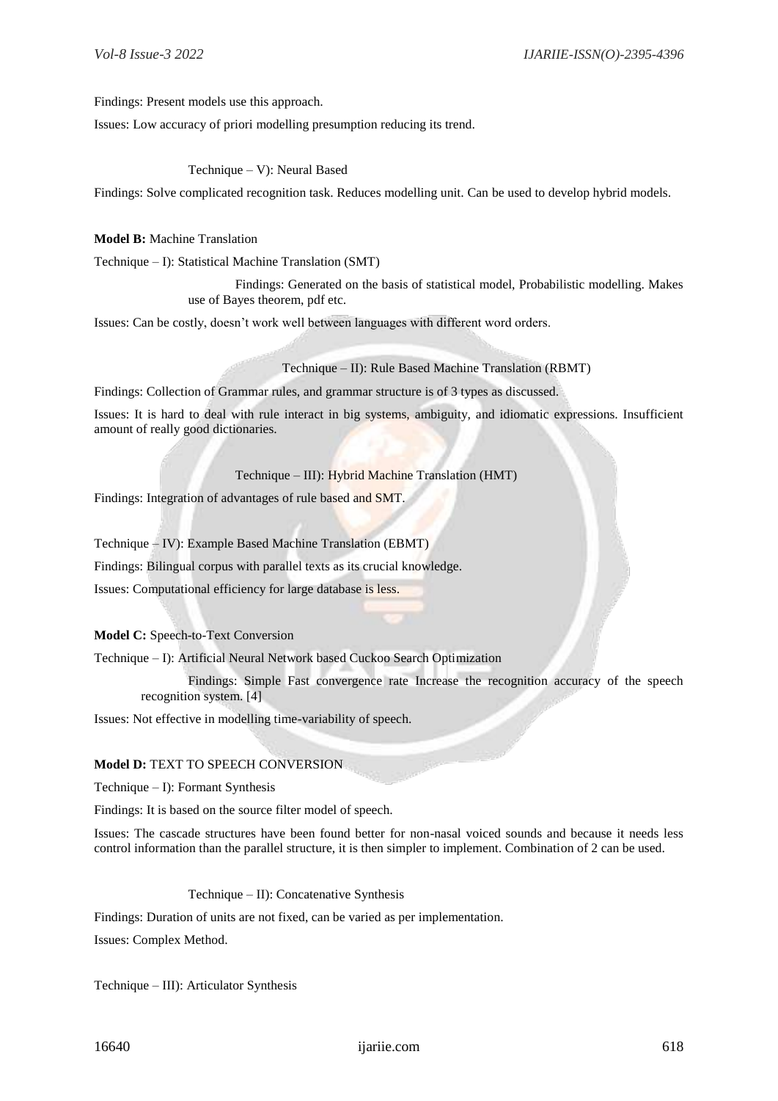Findings: Present models use this approach.

Issues: Low accuracy of priori modelling presumption reducing its trend.

Technique – V): Neural Based

Findings: Solve complicated recognition task. Reduces modelling unit. Can be used to develop hybrid models.

#### **Model B:** Machine Translation

Technique – I): Statistical Machine Translation (SMT)

Findings: Generated on the basis of statistical model, Probabilistic modelling. Makes use of Bayes theorem, pdf etc.

Issues: Can be costly, doesn't work well between languages with different word orders.

Technique – II): Rule Based Machine Translation (RBMT)

Findings: Collection of Grammar rules, and grammar structure is of 3 types as discussed.

Issues: It is hard to deal with rule interact in big systems, ambiguity, and idiomatic expressions. Insufficient amount of really good dictionaries.

Technique – III): Hybrid Machine Translation (HMT)

Findings: Integration of advantages of rule based and SMT.

Technique – IV): Example Based Machine Translation (EBMT)

Findings: Bilingual corpus with parallel texts as its crucial knowledge.

Issues: Computational efficiency for large database is less.

**Model C:** Speech-to-Text Conversion

Technique – I): Artificial Neural Network based Cuckoo Search Optimization

Findings: Simple Fast convergence rate Increase the recognition accuracy of the speech recognition system. [4]

Issues: Not effective in modelling time-variability of speech.

#### **Model D:** TEXT TO SPEECH CONVERSION

Technique – I): Formant Synthesis

Findings: It is based on the source filter model of speech.

Issues: The cascade structures have been found better for non-nasal voiced sounds and because it needs less control information than the parallel structure, it is then simpler to implement. Combination of 2 can be used.

Technique – II): Concatenative Synthesis

Findings: Duration of units are not fixed, can be varied as per implementation.

Issues: Complex Method.

Technique – III): Articulator Synthesis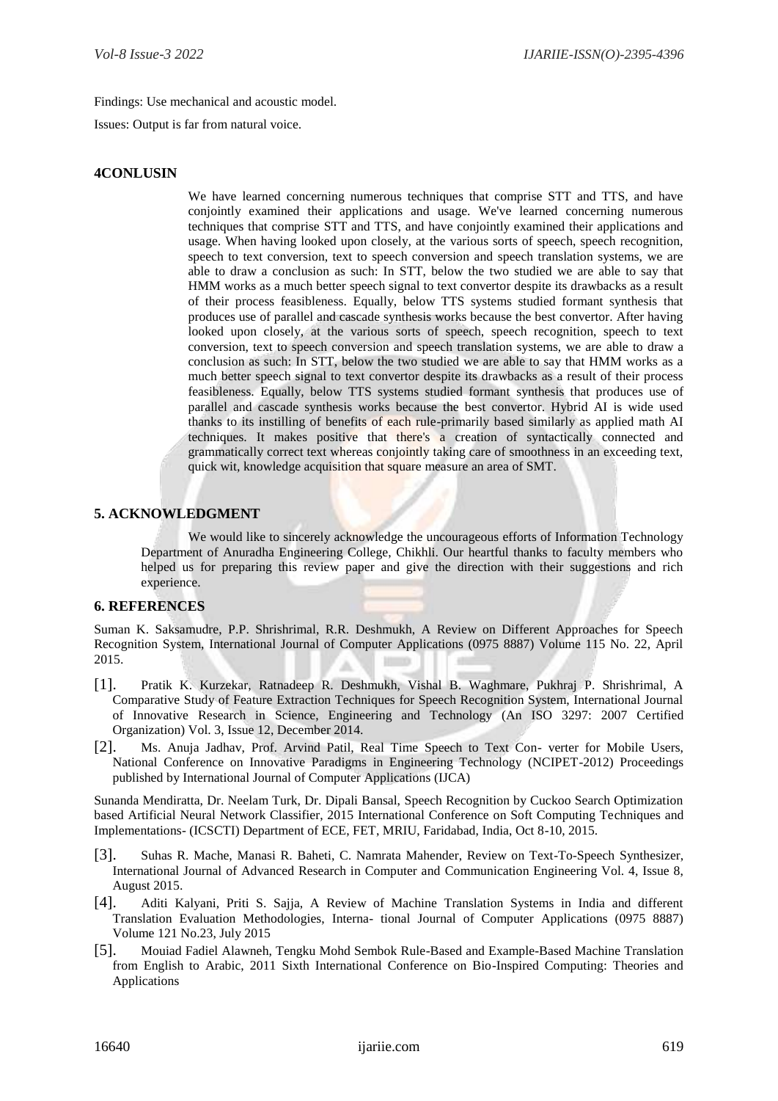Findings: Use mechanical and acoustic model.

Issues: Output is far from natural voice.

## **4CONLUSIN**

We have learned concerning numerous techniques that comprise STT and TTS, and have conjointly examined their applications and usage. We've learned concerning numerous techniques that comprise STT and TTS, and have conjointly examined their applications and usage. When having looked upon closely, at the various sorts of speech, speech recognition, speech to text conversion, text to speech conversion and speech translation systems, we are able to draw a conclusion as such: In STT, below the two studied we are able to say that HMM works as a much better speech signal to text convertor despite its drawbacks as a result of their process feasibleness. Equally, below TTS systems studied formant synthesis that produces use of parallel and cascade synthesis works because the best convertor. After having looked upon closely, at the various sorts of speech, speech recognition, speech to text conversion, text to speech conversion and speech translation systems, we are able to draw a conclusion as such: In STT, below the two studied we are able to say that HMM works as a much better speech signal to text convertor despite its drawbacks as a result of their process feasibleness. Equally, below TTS systems studied formant synthesis that produces use of parallel and cascade synthesis works because the best convertor. Hybrid AI is wide used thanks to its instilling of benefits of each rule-primarily based similarly as applied math AI techniques. It makes positive that there's a creation of syntactically connected and grammatically correct text whereas conjointly taking care of smoothness in an exceeding text, quick wit, knowledge acquisition that square measure an area of SMT.

## **5. ACKNOWLEDGMENT**

We would like to sincerely acknowledge the uncourageous efforts of Information Technology Department of Anuradha Engineering College, Chikhli. Our heartful thanks to faculty members who helped us for preparing this review paper and give the direction with their suggestions and rich experience.

## **6. REFERENCES**

Suman K. Saksamudre, P.P. Shrishrimal, R.R. Deshmukh, A Review on Different Approaches for Speech Recognition System, International Journal of Computer Applications (0975 8887) Volume 115 No. 22, April 2015.

- [1]. Pratik K. Kurzekar, Ratnadeep R. Deshmukh, Vishal B. Waghmare, Pukhraj P. Shrishrimal, A Comparative Study of Feature Extraction Techniques for Speech Recognition System, International Journal of Innovative Research in Science, Engineering and Technology (An ISO 3297: 2007 Certified Organization) Vol. 3, Issue 12, December 2014.
- [2]. Ms. Anuja Jadhav, Prof. Arvind Patil, Real Time Speech to Text Con- verter for Mobile Users, National Conference on Innovative Paradigms in Engineering Technology (NCIPET-2012) Proceedings published by International Journal of Computer Applications (IJCA)

Sunanda Mendiratta, Dr. Neelam Turk, Dr. Dipali Bansal, Speech Recognition by Cuckoo Search Optimization based Artificial Neural Network Classifier, 2015 International Conference on Soft Computing Techniques and Implementations- (ICSCTI) Department of ECE, FET, MRIU, Faridabad, India, Oct 8-10, 2015.

- [3]. Suhas R. Mache, Manasi R. Baheti, C. Namrata Mahender, Review on Text-To-Speech Synthesizer, International Journal of Advanced Research in Computer and Communication Engineering Vol. 4, Issue 8, August 2015.
- [4]. Aditi Kalyani, Priti S. Sajja, A Review of Machine Translation Systems in India and different Translation Evaluation Methodologies, Interna- tional Journal of Computer Applications (0975 8887) Volume 121 No.23, July 2015
- [5]. Mouiad Fadiel Alawneh, Tengku Mohd Sembok Rule-Based and Example-Based Machine Translation from English to Arabic, 2011 Sixth International Conference on Bio-Inspired Computing: Theories and Applications